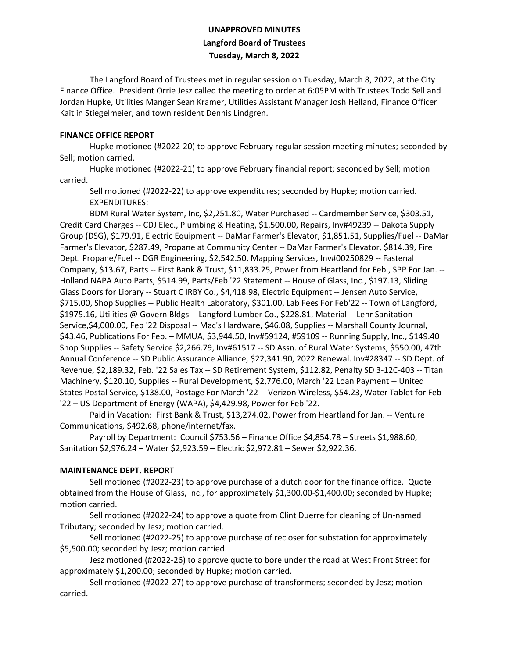## **UNAPPROVED MINUTES Langford Board of Trustees Tuesday, March 8, 2022**

The Langford Board of Trustees met in regular session on Tuesday, March 8, 2022, at the City Finance Office. President Orrie Jesz called the meeting to order at 6:05PM with Trustees Todd Sell and Jordan Hupke, Utilities Manger Sean Kramer, Utilities Assistant Manager Josh Helland, Finance Officer Kaitlin Stiegelmeier, and town resident Dennis Lindgren.

## **FINANCE OFFICE REPORT**

Hupke motioned (#2022-20) to approve February regular session meeting minutes; seconded by Sell; motion carried.

Hupke motioned (#2022-21) to approve February financial report; seconded by Sell; motion carried.

Sell motioned (#2022-22) to approve expenditures; seconded by Hupke; motion carried. EXPENDITURES:

BDM Rural Water System, Inc, \$2,251.80, Water Purchased -- Cardmember Service, \$303.51, Credit Card Charges -- CDJ Elec., Plumbing & Heating, \$1,500.00, Repairs, Inv#49239 -- Dakota Supply Group (DSG), \$179.91, Electric Equipment -- DaMar Farmer's Elevator, \$1,851.51, Supplies/Fuel -- DaMar Farmer's Elevator, \$287.49, Propane at Community Center -- DaMar Farmer's Elevator, \$814.39, Fire Dept. Propane/Fuel -- DGR Engineering, \$2,542.50, Mapping Services, Inv#00250829 -- Fastenal Company, \$13.67, Parts -- First Bank & Trust, \$11,833.25, Power from Heartland for Feb., SPP For Jan. -- Holland NAPA Auto Parts, \$514.99, Parts/Feb '22 Statement -- House of Glass, Inc., \$197.13, Sliding Glass Doors for Library -- Stuart C IRBY Co., \$4,418.98, Electric Equipment -- Jensen Auto Service, \$715.00, Shop Supplies -- Public Health Laboratory, \$301.00, Lab Fees For Feb'22 -- Town of Langford, \$1975.16, Utilities @ Govern Bldgs -- Langford Lumber Co., \$228.81, Material -- Lehr Sanitation Service,\$4,000.00, Feb '22 Disposal -- Mac's Hardware, \$46.08, Supplies -- Marshall County Journal, \$43.46, Publications For Feb. – MMUA, \$3,944.50, Inv#59124, #59109 -- Running Supply, Inc., \$149.40 Shop Supplies -- Safety Service \$2,266.79, Inv#61517 -- SD Assn. of Rural Water Systems, \$550.00, 47th Annual Conference -- SD Public Assurance Alliance, \$22,341.90, 2022 Renewal. Inv#28347 -- SD Dept. of Revenue, \$2,189.32, Feb. '22 Sales Tax -- SD Retirement System, \$112.82, Penalty SD 3-12C-403 -- Titan Machinery, \$120.10, Supplies -- Rural Development, \$2,776.00, March '22 Loan Payment -- United States Postal Service, \$138.00, Postage For March '22 -- Verizon Wireless, \$54.23, Water Tablet for Feb '22 – US Department of Energy (WAPA), \$4,429.98, Power for Feb '22.

Paid in Vacation: First Bank & Trust, \$13,274.02, Power from Heartland for Jan. -- Venture Communications, \$492.68, phone/internet/fax.

Payroll by Department: Council \$753.56 – Finance Office \$4,854.78 – Streets \$1,988.60, Sanitation \$2,976.24 – Water \$2,923.59 – Electric \$2,972.81 – Sewer \$2,922.36.

## **MAINTENANCE DEPT. REPORT**

Sell motioned (#2022-23) to approve purchase of a dutch door for the finance office. Quote obtained from the House of Glass, Inc., for approximately \$1,300.00-\$1,400.00; seconded by Hupke; motion carried.

Sell motioned (#2022-24) to approve a quote from Clint Duerre for cleaning of Un-named Tributary; seconded by Jesz; motion carried.

Sell motioned (#2022-25) to approve purchase of recloser for substation for approximately \$5,500.00; seconded by Jesz; motion carried.

Jesz motioned (#2022-26) to approve quote to bore under the road at West Front Street for approximately \$1,200.00; seconded by Hupke; motion carried.

Sell motioned (#2022-27) to approve purchase of transformers; seconded by Jesz; motion carried.